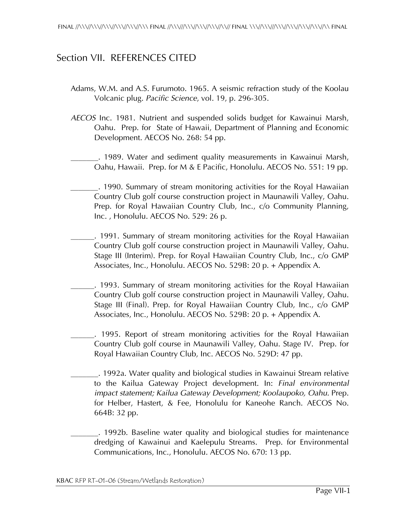## Section VII. REFERENCES CITED

- Adams, W.M. and A.S. Furumoto. 1965. A seismic refraction study of the Koolau Volcanic plug. *Pacific Science*, vol. 19, p. 296-305.
- *AECOS* Inc. 1981. Nutrient and suspended solids budget for Kawainui Marsh, Oahu. Prep. for State of Hawaii, Department of Planning and Economic Development. AECOS No. 268: 54 pp.
- \_\_\_\_\_\_\_. 1989. Water and sediment quality measurements in Kawainui Marsh, Oahu, Hawaii. Prep. for M & E Pacific, Honolulu. AECOS No. 551: 19 pp.
- *\_\_\_\_\_\_\_*. 1990. Summary of stream monitoring activities for the Royal Hawaiian Country Club golf course construction project in Maunawili Valley, Oahu. Prep. for Royal Hawaiian Country Club, Inc., c/o Community Planning, Inc. , Honolulu. AECOS No. 529: 26 p.
- \_\_\_\_\_\_. 1991. Summary of stream monitoring activities for the Royal Hawaiian Country Club golf course construction project in Maunawili Valley, Oahu. Stage III (Interim). Prep. for Royal Hawaiian Country Club, Inc., c/o GMP Associates, Inc., Honolulu. AECOS No. 529B: 20 p. + Appendix A.
- \_\_\_\_\_\_. 1993. Summary of stream monitoring activities for the Royal Hawaiian Country Club golf course construction project in Maunawili Valley, Oahu. Stage III (Final). Prep. for Royal Hawaiian Country Club, Inc., c/o GMP Associates, Inc., Honolulu. AECOS No. 529B: 20 p. + Appendix A.
	- \_\_\_\_\_\_. 1995. Report of stream monitoring activities for the Royal Hawaiian Country Club golf course in Maunawili Valley, Oahu. Stage IV. Prep. for Royal Hawaiian Country Club, Inc. AECOS No. 529D: 47 pp.
	- \_\_\_\_\_\_\_. 1992a. Water quality and biological studies in Kawainui Stream relative to the Kailua Gateway Project development. In: *Final environmental impact statement; Kailua Gateway Development; Koolaupoko, Oahu.* Prep. for Helber, Hastert, & Fee, Honolulu for Kaneohe Ranch. AECOS No. 664B: 32 pp.
- \_\_\_\_\_\_\_. 1992b. Baseline water quality and biological studies for maintenance dredging of Kawainui and Kaelepulu Streams. Prep. for Environmental Communications, Inc., Honolulu. AECOS No. 670: 13 pp.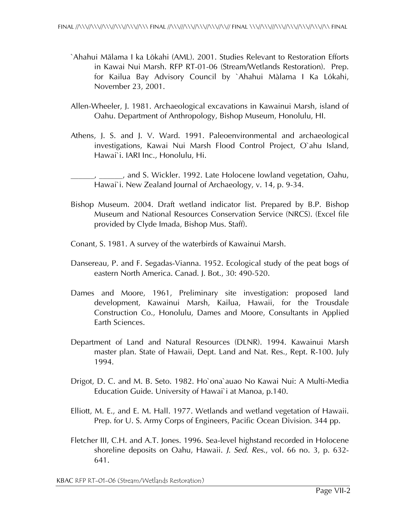- `Ahahui Mälama I ka Lökahi (AML). 2001. Studies Relevant to Restoration Efforts in Kawai Nui Marsh. RFP RT-01-06 (Stream/Wetlands Restoration). Prep. for Kailua Bay Advisory Council by `Ahahui Màlama I Ka Lókahi, November 23, 2001.
- Allen-Wheeler, J. 1981. Archaeological excavations in Kawainui Marsh, island of Oahu. Department of Anthropology, Bishop Museum, Honolulu, HI.
- Athens, J. S. and J. V. Ward. 1991. Paleoenvironmental and archaeological investigations, Kawai Nui Marsh Flood Control Project, O`ahu Island, Hawai`i. IARI Inc., Honolulu, Hi.
- \_\_\_\_\_\_, \_\_\_\_\_\_, and S. Wickler. 1992. Late Holocene lowland vegetation, Oahu, Hawai`i. New Zealand Journal of Archaeology, v. 14, p. 9-34.
- Bishop Museum. 2004. Draft wetland indicator list. Prepared by B.P. Bishop Museum and National Resources Conservation Service (NRCS). (Excel file provided by Clyde Imada, Bishop Mus. Staff).
- Conant, S. 1981. A survey of the waterbirds of Kawainui Marsh.
- Dansereau, P. and F. Segadas-Vianna. 1952. Ecological study of the peat bogs of eastern North America. Canad. J. Bot., 30: 490-520.
- Dames and Moore, 1961, Preliminary site investigation: proposed land development, Kawainui Marsh, Kailua, Hawaii, for the Trousdale Construction Co., Honolulu, Dames and Moore, Consultants in Applied Earth Sciences.
- Department of Land and Natural Resources (DLNR). 1994. Kawainui Marsh master plan. State of Hawaii, Dept. Land and Nat. Res., Rept. R-100. July 1994.
- Drigot, D. C. and M. B. Seto. 1982. Ho`ona`auao No Kawai Nui: A Multi-Media Education Guide. University of Hawai`i at Manoa, p.140.
- Elliott, M. E., and E. M. Hall. 1977. Wetlands and wetland vegetation of Hawaii. Prep. for U. S. Army Corps of Engineers, Pacific Ocean Division. 344 pp.
- Fletcher III, C.H. and A.T. Jones. 1996. Sea-level highstand recorded in Holocene shoreline deposits on Oahu, Hawaii. *J. Sed. Res*., vol. 66 no. 3, p. 632- 641.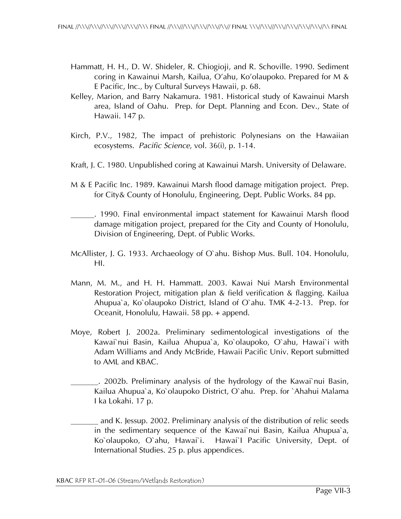- Hammatt, H. H., D. W. Shideler, R. Chiogioji, and R. Schoville. 1990. Sediment coring in Kawainui Marsh, Kailua, O'ahu, Ko'olaupoko. Prepared for M & E Pacific, Inc., by Cultural Surveys Hawaii, p. 68.
- Kelley, Marion, and Barry Nakamura. 1981. Historical study of Kawainui Marsh area, Island of Oahu. Prep. for Dept. Planning and Econ. Dev., State of Hawaii. 147 p.
- Kirch, P.V., 1982, The impact of prehistoric Polynesians on the Hawaiian ecosystems. *Pacific Science*, vol. 36(i), p. 1-14.
- Kraft, J. C. 1980. Unpublished coring at Kawainui Marsh. University of Delaware.
- M & E Pacific Inc. 1989. Kawainui Marsh flood damage mitigation project. Prep. for City& County of Honolulu, Engineering, Dept. Public Works. 84 pp.
- \_\_\_\_\_\_. 1990. Final environmental impact statement for Kawainui Marsh flood damage mitigation project, prepared for the City and County of Honolulu, Division of Engineering, Dept. of Public Works.
- McAllister, J. G. 1933. Archaeology of O`ahu. Bishop Mus. Bull. 104. Honolulu, HI.
- Mann, M. M., and H. H. Hammatt. 2003. Kawai Nui Marsh Environmental Restoration Project, mitigation plan & field verification & flagging. Kailua Ahupua`a, Ko`olaupoko District, Island of O`ahu. TMK 4-2-13. Prep. for Oceanit, Honolulu, Hawaii. 58 pp. + append.
- Moye, Robert J. 2002a. Preliminary sedimentological investigations of the Kawai`nui Basin, Kailua Ahupua`a, Ko`olaupoko, O`ahu, Hawai`i with Adam Williams and Andy McBride, Hawaii Pacific Univ. Report submitted to AML and KBAC.
- . 2002b. Preliminary analysis of the hydrology of the Kawai`nui Basin, Kailua Ahupua`a, Ko`olaupoko District, O`ahu. Prep. for `Ahahui Malama I ka Lokahi. 17 p.
	- \_\_\_\_\_\_\_ and K. Jessup. 2002. Preliminary analysis of the distribution of relic seeds in the sedimentary sequence of the Kawai`nui Basin, Kailua Ahupua`a, Ko`olaupoko, O`ahu, Hawai`i. Hawai`I Pacific University, Dept. of International Studies. 25 p. plus appendices.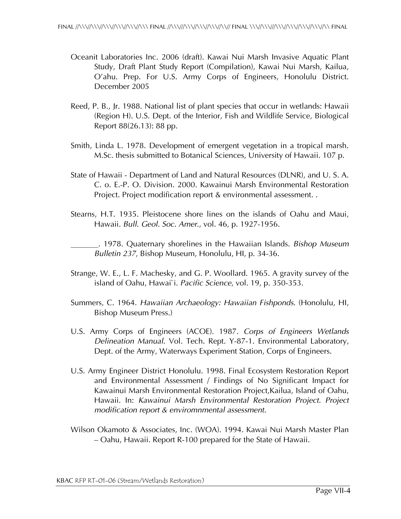- Oceanit Laboratories Inc. 2006 (draft). Kawai Nui Marsh Invasive Aquatic Plant Study, Draft Plant Study Report (Compilation), Kawai Nui Marsh, Kailua, O'ahu. Prep. For U.S. Army Corps of Engineers, Honolulu District. December 2005
- Reed, P. B., Jr. 1988. National list of plant species that occur in wetlands: Hawaii (Region H). U.S. Dept. of the Interior, Fish and Wildlife Service, Biological Report 88(26.13): 88 pp.
- Smith, Linda L. 1978. Development of emergent vegetation in a tropical marsh. M.Sc. thesis submitted to Botanical Sciences, University of Hawaii. 107 p.
- State of Hawaii Department of Land and Natural Resources (DLNR), and U. S. A. C. o. E.-P. O. Division. 2000. Kawainui Marsh Environmental Restoration Project. Project modification report & environmental assessment. .
- Stearns, H.T. 1935. Pleistocene shore lines on the islands of Oahu and Maui, Hawaii. *Bull. Geol. Soc. Amer*., vol. 46, p. 1927-1956.

\_\_\_\_\_\_\_. 1978. Quaternary shorelines in the Hawaiian Islands. *Bishop Museum Bulletin 237*, Bishop Museum, Honolulu, HI, p. 34-36.

- Strange, W. E., L. F. Machesky, and G. P. Woollard. 1965. A gravity survey of the island of Oahu, Hawai`i. *Pacific Science*, vol. 19, p. 350-353.
- Summers, C. 1964. *Hawaiian Archaeology: Hawaiian Fishponds*. (Honolulu, HI, Bishop Museum Press.)
- U.S. Army Corps of Engineers (ACOE). 1987. *Corps of Engineers Wetlands Delineation Manual*. Vol. Tech. Rept. Y-87-1. Environmental Laboratory, Dept. of the Army, Waterways Experiment Station, Corps of Engineers.
- U.S. Army Engineer District Honolulu. 1998. Final Ecosystem Restoration Report and Environmental Assessment / Findings of No Significant Impact for Kawainui Marsh Environmental Restoration Project,Kailua, Island of Oahu, Hawaii. In: *Kawainui Marsh Environmental Restoration Project. Project modification report & enviromnmental assessment.*
- Wilson Okamoto & Associates, Inc. (WOA). 1994. Kawai Nui Marsh Master Plan – Oahu, Hawaii. Report R-100 prepared for the State of Hawaii.